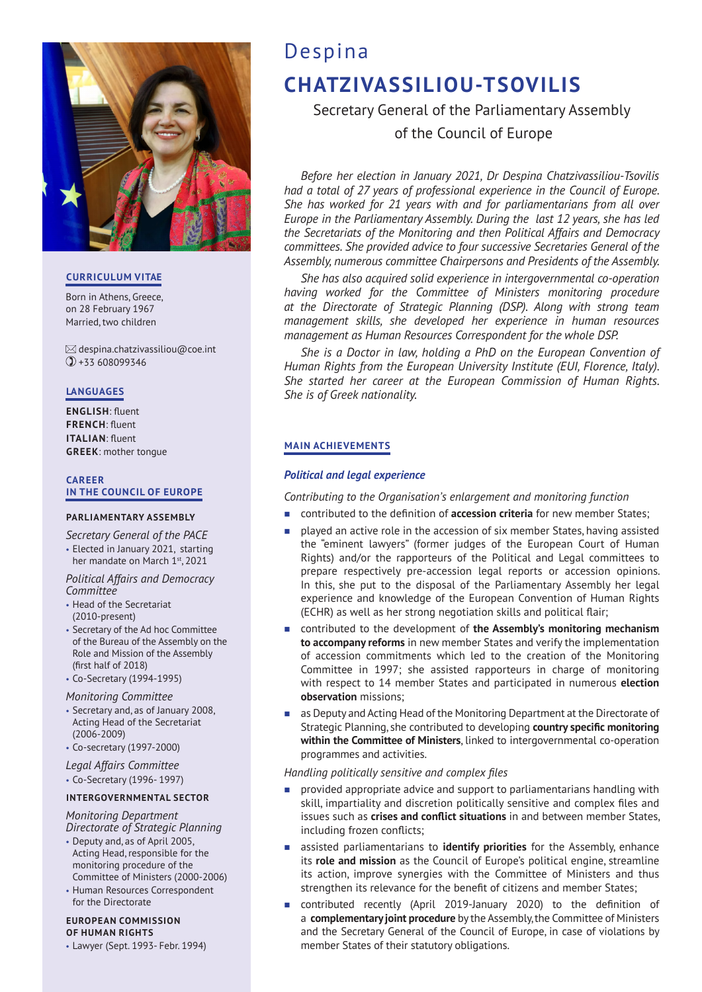

## **CURRICULUM VITAE**

Born in Athens, Greece, on 28 February 1967 Married, two children

 $\boxtimes$  despina.chatzivassiliou@coe.int +33 608099346

# **LANGUAGES**

**ENGLISH**: fluent **FRENCH**: fluent **ITALIAN**: fluent **GREEK**: mother tongue

#### **CAREER IN THE COUNCIL OF EUROPE**

## **PARLIAMENTARY ASSEMBLY**

*Secretary General of the PACE*

• Elected in January 2021, starting her mandate on March 1st, 2021

*Political Affairs and Democracy Committee*

- Head of the Secretariat (2010-present)
- Secretary of the Ad hoc Committee of the Bureau of the Assembly on the Role and Mission of the Assembly (first half of 2018)
- Co-Secretary (1994-1995)

## *Monitoring Committee*

- Secretary and, as of January 2008, Acting Head of the Secretariat (2006-2009)
- Co-secretary (1997-2000)
- *Legal Affairs Committee*
- Co-Secretary (1996- 1997)

## **INTERGOVERNMENTAL SECTOR**

*Monitoring Department Directorate of Strategic Planning*

- Deputy and, as of April 2005, Acting Head, responsible for the monitoring procedure of the
- Committee of Ministers (2000-2006) • Human Resources Correspondent for the Directorate

# **EUROPEAN COMMISSION OF HUMAN RIGHTS**

• Lawyer (Sept. 1993- Febr. 1994)

# Despina **CHATZIVASSILIOU-TSOVILIS**

Secretary General of the Parliamentary Assembly of the Council of Europe

*Before her election in January 2021, Dr Despina Chatzivassiliou-Tsovilis had a total of 27 years of professional experience in the Council of Europe. She has worked for 21 years with and for parliamentarians from all over Europe in the Parliamentary Assembly. During the last 12 years, she has led the Secretariats of the Monitoring and then Political Affairs and Democracy committees. She provided advice to four successive Secretaries General of the Assembly, numerous committee Chairpersons and Presidents of the Assembly.* 

*She has also acquired solid experience in intergovernmental co-operation having worked for the Committee of Ministers monitoring procedure at the Directorate of Strategic Planning (DSP). Along with strong team management skills, she developed her experience in human resources management as Human Resources Correspondent for the whole DSP.* 

*She is a Doctor in law, holding a PhD on the European Convention of Human Rights from the European University Institute (EUI, Florence, Italy). She started her career at the European Commission of Human Rights. She is of Greek nationality.*

# **MAIN ACHIEVEMENTS**

## *Political and legal experience*

*Contributing to the Organisation's enlargement and monitoring function*

- contributed to the definition of **accession criteria** for new member States;
- **Paraged** an active role in the accession of six member States, having assisted the "eminent lawyers" (former judges of the European Court of Human Rights) and/or the rapporteurs of the Political and Legal committees to prepare respectively pre-accession legal reports or accession opinions. In this, she put to the disposal of the Parliamentary Assembly her legal experience and knowledge of the European Convention of Human Rights (ECHR) as well as her strong negotiation skills and political flair;
- contributed to the development of **the Assembly's monitoring mechanism to accompany reforms** in new member States and verify the implementation of accession commitments which led to the creation of the Monitoring Committee in 1997; she assisted rapporteurs in charge of monitoring with respect to 14 member States and participated in numerous **election observation** missions;
- as Deputy and Acting Head of the Monitoring Department at the Directorate of Strategic Planning, she contributed to developing **country specific monitoring within the Committee of Ministers**, linked to intergovernmental co-operation programmes and activities.

## *Handling politically sensitive and complex files*

- provided appropriate advice and support to parliamentarians handling with skill, impartiality and discretion politically sensitive and complex files and issues such as **crises and conflict situations** in and between member States, including frozen conflicts;
- assisted parliamentarians to **identify priorities** for the Assembly, enhance its **role and mission** as the Council of Europe's political engine, streamline its action, improve synergies with the Committee of Ministers and thus strengthen its relevance for the benefit of citizens and member States;
- contributed recently (April 2019-January 2020) to the definition of a **complementary joint procedure** by the Assembly, the Committee of Ministers and the Secretary General of the Council of Europe, in case of violations by member States of their statutory obligations.